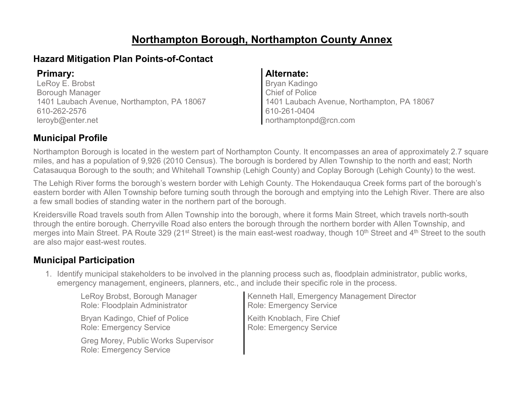# **Northampton Borough, Northampton County Annex**

### **Hazard Mitigation Plan Points-of-Contact**

LeRoy E. Brobst Borough Manager 1401 Laubach Avenue, Northampton, PA 18067 610-262-2576 leroyb@enter.net

#### **Primary: Alternate:**

Bryan Kadingo Chief of Police 1401 Laubach Avenue, Northampton, PA 18067 610-261-0404 northamptonpd@rcn.com

### **Municipal Profile**

Northampton Borough is located in the western part of Northampton County. It encompasses an area of approximately 2.7 square miles, and has a population of 9,926 (2010 Census). The borough is bordered by Allen Township to the north and east; North Catasauqua Borough to the south; and Whitehall Township (Lehigh County) and Coplay Borough (Lehigh County) to the west.

The Lehigh River forms the borough's western border with Lehigh County. The Hokendauqua Creek forms part of the borough's eastern border with Allen Township before turning south through the borough and emptying into the Lehigh River. There are also a few small bodies of standing water in the northern part of the borough.

Kreidersville Road travels south from Allen Township into the borough, where it forms Main Street, which travels north-south through the entire borough. Cherryville Road also enters the borough through the northern border with Allen Township, and merges into Main Street. PA Route 329 (21<sup>st</sup> Street) is the main east-west roadway, though 10<sup>th</sup> Street and 4<sup>th</sup> Street to the south are also major east-west routes.

### **Municipal Participation**

1. Identify municipal stakeholders to be involved in the planning process such as, floodplain administrator, public works, emergency management, engineers, planners, etc., and include their specific role in the process.

| LeRoy Brobst, Borough Manager                                         | Kenneth Hall, Emergency Management Director |
|-----------------------------------------------------------------------|---------------------------------------------|
| Role: Floodplain Administrator                                        | Role: Emergency Service                     |
| Bryan Kadingo, Chief of Police                                        | Keith Knoblach, Fire Chief                  |
| <b>Role: Emergency Service</b>                                        | <b>Role: Emergency Service</b>              |
| Greg Morey, Public Works Supervisor<br><b>Role: Emergency Service</b> |                                             |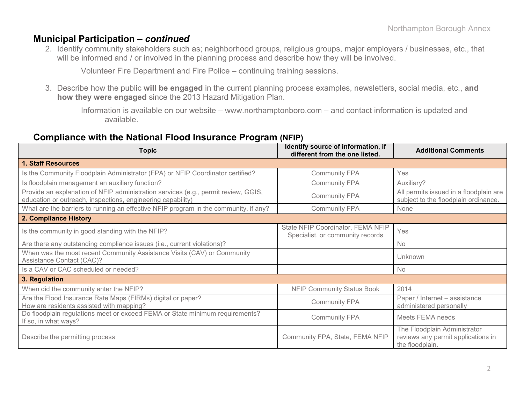#### **Municipal Participation –** *continued*

2. Identify community stakeholders such as; neighborhood groups, religious groups, major employers / businesses, etc., that will be informed and / or involved in the planning process and describe how they will be involved.

Volunteer Fire Department and Fire Police – continuing training sessions.

3. Describe how the public **will be engaged** in the current planning process examples, newsletters, social media, etc., **and how they were engaged** since the 2013 Hazard Mitigation Plan.

Information is available on our website – www.northamptonboro.com – and contact information is updated and available.

#### **Compliance with the National Flood Insurance Program (NFIP)**

| <b>Topic</b>                                                                                                                                      | Identify source of information, if<br>different from the one listed.  | <b>Additional Comments</b>                                                            |
|---------------------------------------------------------------------------------------------------------------------------------------------------|-----------------------------------------------------------------------|---------------------------------------------------------------------------------------|
| <b>1. Staff Resources</b>                                                                                                                         |                                                                       |                                                                                       |
| Is the Community Floodplain Administrator (FPA) or NFIP Coordinator certified?                                                                    | <b>Community FPA</b>                                                  | Yes                                                                                   |
| Is floodplain management an auxiliary function?                                                                                                   | <b>Community FPA</b>                                                  | Auxiliary?                                                                            |
| Provide an explanation of NFIP administration services (e.g., permit review, GGIS,<br>education or outreach, inspections, engineering capability) | <b>Community FPA</b>                                                  | All permits issued in a floodplain are<br>subject to the floodplain ordinance.        |
| What are the barriers to running an effective NFIP program in the community, if any?                                                              | <b>Community FPA</b>                                                  | None                                                                                  |
| 2. Compliance History                                                                                                                             |                                                                       |                                                                                       |
| Is the community in good standing with the NFIP?                                                                                                  | State NFIP Coordinator, FEMA NFIP<br>Specialist, or community records | Yes                                                                                   |
| Are there any outstanding compliance issues (i.e., current violations)?                                                                           |                                                                       | No                                                                                    |
| When was the most recent Community Assistance Visits (CAV) or Community<br>Assistance Contact (CAC)?                                              |                                                                       | Unknown                                                                               |
| Is a CAV or CAC scheduled or needed?                                                                                                              |                                                                       | No                                                                                    |
| 3. Regulation                                                                                                                                     |                                                                       |                                                                                       |
| When did the community enter the NFIP?                                                                                                            | <b>NFIP Community Status Book</b>                                     | 2014                                                                                  |
| Are the Flood Insurance Rate Maps (FIRMs) digital or paper?<br>How are residents assisted with mapping?                                           | <b>Community FPA</b>                                                  | Paper / Internet - assistance<br>administered personally                              |
| Do floodplain regulations meet or exceed FEMA or State minimum requirements?<br>If so, in what ways?                                              | <b>Community FPA</b>                                                  | Meets FEMA needs                                                                      |
| Describe the permitting process                                                                                                                   | Community FPA, State, FEMA NFIP                                       | The Floodplain Administrator<br>reviews any permit applications in<br>the floodplain. |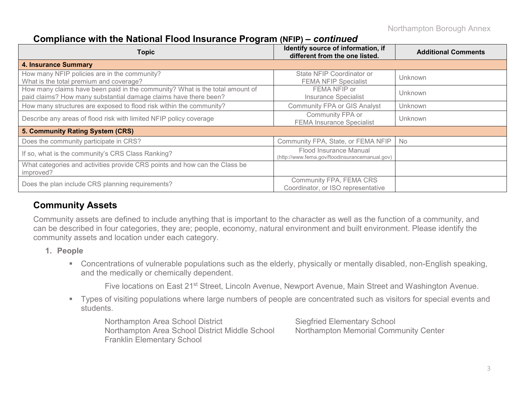Northampton Borough Annex

#### **Compliance with the National Flood Insurance Program (NFIP) –** *continued*

| <b>Topic</b>                                                                                                                                     | Identify source of information, if<br>different from the one listed.     | <b>Additional Comments</b> |
|--------------------------------------------------------------------------------------------------------------------------------------------------|--------------------------------------------------------------------------|----------------------------|
| <b>4. Insurance Summary</b>                                                                                                                      |                                                                          |                            |
| How many NFIP policies are in the community?<br>What is the total premium and coverage?                                                          | State NFIP Coordinator or<br><b>FEMA NFIP Specialist</b>                 | Unknown                    |
| How many claims have been paid in the community? What is the total amount of<br>paid claims? How many substantial damage claims have there been? | FEMA NFIP or<br><b>Insurance Specialist</b>                              | Unknown                    |
| How many structures are exposed to flood risk within the community?                                                                              | <b>Community FPA or GIS Analyst</b>                                      | Unknown                    |
| Describe any areas of flood risk with limited NFIP policy coverage                                                                               | Community FPA or<br><b>FEMA Insurance Specialist</b>                     | Unknown                    |
| 5. Community Rating System (CRS)                                                                                                                 |                                                                          |                            |
| Does the community participate in CRS?                                                                                                           | Community FPA, State, or FEMA NFIP                                       | No                         |
| If so, what is the community's CRS Class Ranking?                                                                                                | Flood Insurance Manual<br>(http://www.fema.gov/floodinsurancemanual.gov) |                            |
| What categories and activities provide CRS points and how can the Class be<br>improved?                                                          |                                                                          |                            |
| Does the plan include CRS planning requirements?                                                                                                 | Community FPA, FEMA CRS<br>Coordinator, or ISO representative            |                            |

### **Community Assets**

Community assets are defined to include anything that is important to the character as well as the function of a community, and can be described in four categories, they are; people, economy, natural environment and built environment. Please identify the community assets and location under each category.

- **1. People**
	- Concentrations of vulnerable populations such as the elderly, physically or mentally disabled, non-English speaking, and the medically or chemically dependent.

Five locations on East 21<sup>st</sup> Street, Lincoln Avenue, Newport Avenue, Main Street and Washington Avenue.

 Types of visiting populations where large numbers of people are concentrated such as visitors for special events and students.

Northampton Area School District Siegfried Elementary School Northampton Area School District Middle School Northampton Memorial Community Center Franklin Elementary School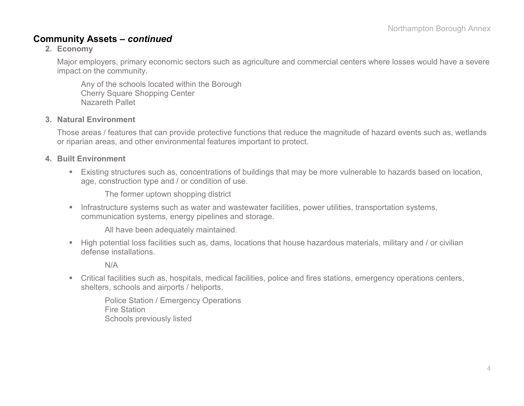#### **Community Assets –** *continued*

#### **2. Economy**

Major employers, primary economic sectors such as agriculture and commercial centers where losses would have a severe impact on the community.

Any of the schools located within the Borough Cherry Square Shopping Center Nazareth Pallet

#### **3. Natural Environment**

Those areas / features that can provide protective functions that reduce the magnitude of hazard events such as, wetlands or riparian areas, and other environmental features important to protect.

#### **4. Built Environment**

 Existing structures such as, concentrations of buildings that may be more vulnerable to hazards based on location, age, construction type and / or condition of use.

The former uptown shopping district

**Infrastructure systems such as water and wastewater facilities, power utilities, transportation systems,** communication systems, energy pipelines and storage.

All have been adequately maintained.

 High potential loss facilities such as, dams, locations that house hazardous materials, military and / or civilian defense installations.

N/A

 Critical facilities such as, hospitals, medical facilities, police and fires stations, emergency operations centers, shelters, schools and airports / heliports.

Police Station / Emergency Operations Fire Station Schools previously listed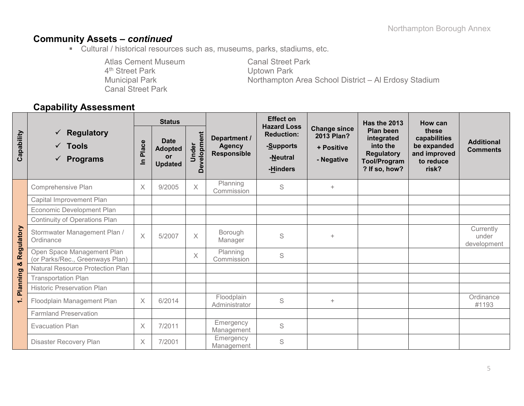## **Community Assets –** *continued*

Cultural / historical resources such as, museums, parks, stadiums, etc.

Atlas Cement Museum<br>
4<sup>th</sup> Street Park<br>
2<sup>th</sup> Street Park<br>
2011 4<sup>th</sup> Street Park<br>Municipal Park Canal Street Park

Northampton Area School District – Al Erdosy Stadium

### **Capability Assessment**

|            |                                                                                  | <b>Status</b>         |                                                       |                         |                                                     | <b>Effect on</b><br><b>Hazard Loss</b>                 |                                                               | <b>Has the 2013</b>                                                                              | How can                                                                    |                                      |
|------------|----------------------------------------------------------------------------------|-----------------------|-------------------------------------------------------|-------------------------|-----------------------------------------------------|--------------------------------------------------------|---------------------------------------------------------------|--------------------------------------------------------------------------------------------------|----------------------------------------------------------------------------|--------------------------------------|
| Capability | <b>Regulatory</b><br>$\checkmark$<br>$\checkmark$ Tools<br>$\checkmark$ Programs | Place<br>$\mathbf{a}$ | <b>Date</b><br><b>Adopted</b><br>or<br><b>Updated</b> | Development<br>Under    | Department /<br><b>Agency</b><br><b>Responsible</b> | <b>Reduction:</b><br>-Supports<br>-Neutral<br>-Hinders | <b>Change since</b><br>2013 Plan?<br>+ Positive<br>- Negative | Plan been<br>integrated<br>into the<br><b>Regulatory</b><br><b>Tool/Program</b><br>? If so, how? | these<br>capabilities<br>be expanded<br>and improved<br>to reduce<br>risk? | <b>Additional</b><br><b>Comments</b> |
|            | <b>Comprehensive Plan</b>                                                        | $\times$              | 9/2005                                                | $\overline{\mathsf{X}}$ | Planning<br>Commission                              | S                                                      | $+$                                                           |                                                                                                  |                                                                            |                                      |
|            | Capital Improvement Plan                                                         |                       |                                                       |                         |                                                     |                                                        |                                                               |                                                                                                  |                                                                            |                                      |
|            | Economic Development Plan                                                        |                       |                                                       |                         |                                                     |                                                        |                                                               |                                                                                                  |                                                                            |                                      |
| Regulatory | Continuity of Operations Plan                                                    |                       |                                                       |                         |                                                     |                                                        |                                                               |                                                                                                  |                                                                            |                                      |
|            | Stormwater Management Plan /<br>Ordinance                                        | $\times$              | 5/2007                                                | $\times$                | Borough<br>Manager                                  | S                                                      | $+$                                                           |                                                                                                  |                                                                            | Currently<br>under<br>development    |
| ಯ          | Open Space Management Plan<br>(or Parks/Rec., Greenways Plan)                    |                       |                                                       | $\times$                | Planning<br>Commission                              | S                                                      |                                                               |                                                                                                  |                                                                            |                                      |
|            | Natural Resource Protection Plan                                                 |                       |                                                       |                         |                                                     |                                                        |                                                               |                                                                                                  |                                                                            |                                      |
| Planning   | <b>Transportation Plan</b>                                                       |                       |                                                       |                         |                                                     |                                                        |                                                               |                                                                                                  |                                                                            |                                      |
|            | <b>Historic Preservation Plan</b>                                                |                       |                                                       |                         |                                                     |                                                        |                                                               |                                                                                                  |                                                                            |                                      |
| ÷          | Floodplain Management Plan                                                       | X                     | 6/2014                                                |                         | Floodplain<br>Administrator                         | S                                                      | $+$                                                           |                                                                                                  |                                                                            | Ordinance<br>#1193                   |
|            | <b>Farmland Preservation</b>                                                     |                       |                                                       |                         |                                                     |                                                        |                                                               |                                                                                                  |                                                                            |                                      |
|            | <b>Evacuation Plan</b>                                                           | $\times$              | 7/2011                                                |                         | Emergency<br>Management                             | S                                                      |                                                               |                                                                                                  |                                                                            |                                      |
|            | Disaster Recovery Plan                                                           | $\times$              | 7/2001                                                |                         | Emergency<br>Management                             | S                                                      |                                                               |                                                                                                  |                                                                            |                                      |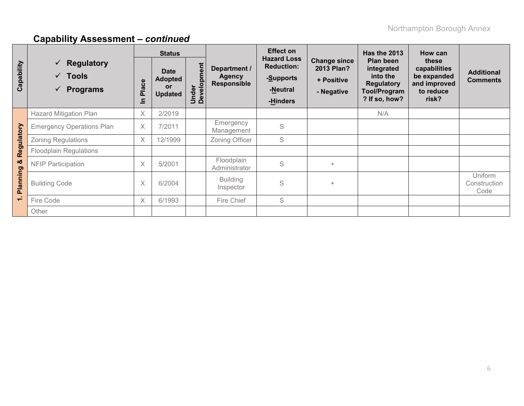|                    |                                                                        |            | <b>Status</b>                                         |                      |                                                     | <b>Effect on</b>                                                             |                                                               | <b>Has the 2013</b>                                                                              | How can                                                                    |                                      |
|--------------------|------------------------------------------------------------------------|------------|-------------------------------------------------------|----------------------|-----------------------------------------------------|------------------------------------------------------------------------------|---------------------------------------------------------------|--------------------------------------------------------------------------------------------------|----------------------------------------------------------------------------|--------------------------------------|
| Capability         | $\checkmark$ Regulatory<br>$\checkmark$ Tools<br>$\checkmark$ Programs | Place<br>≘ | <b>Date</b><br><b>Adopted</b><br>or<br><b>Updated</b> | Under<br>Development | Department /<br><b>Agency</b><br><b>Responsible</b> | <b>Hazard Loss</b><br><b>Reduction:</b><br>-Supports<br>-Neutral<br>-Hinders | <b>Change since</b><br>2013 Plan?<br>+ Positive<br>- Negative | Plan been<br>integrated<br>into the<br><b>Regulatory</b><br><b>Tool/Program</b><br>? If so, how? | these<br>capabilities<br>be expanded<br>and improved<br>to reduce<br>risk? | <b>Additional</b><br><b>Comments</b> |
|                    | <b>Hazard Mitigation Plan</b>                                          | X          | 2/2019                                                |                      |                                                     |                                                                              |                                                               | N/A                                                                                              |                                                                            |                                      |
| Regulatory         | <b>Emergency Operations Plan</b>                                       | $\times$   | 7/2011                                                |                      | Emergency<br>Management                             | S                                                                            |                                                               |                                                                                                  |                                                                            |                                      |
|                    | <b>Zoning Regulations</b>                                              | X          | 12/1999                                               |                      | Zoning Officer                                      | S                                                                            |                                                               |                                                                                                  |                                                                            |                                      |
|                    | <b>Floodplain Regulations</b>                                          |            |                                                       |                      |                                                     |                                                                              |                                                               |                                                                                                  |                                                                            |                                      |
| ಯ                  | <b>NFIP Participation</b>                                              | X          | 5/2001                                                |                      | Floodplain<br>Administrator                         | S                                                                            | $\ddot{}$                                                     |                                                                                                  |                                                                            |                                      |
| Planning<br>$\div$ | <b>Building Code</b>                                                   | X          | 6/2004                                                |                      | <b>Building</b><br>Inspector                        | S                                                                            | $\ddot{}$                                                     |                                                                                                  |                                                                            | Uniform<br>Construction<br>Code      |
|                    | Fire Code                                                              | $\times$   | 6/1993                                                |                      | Fire Chief                                          | S                                                                            |                                                               |                                                                                                  |                                                                            |                                      |
|                    | Other                                                                  |            |                                                       |                      |                                                     |                                                                              |                                                               |                                                                                                  |                                                                            |                                      |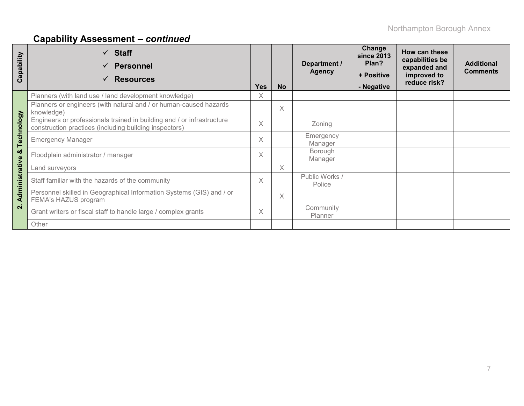| apability<br>ت | $\checkmark$ Staff<br><b>Personnel</b><br>$\checkmark$<br><b>Resources</b><br>$\checkmark$                                       | <b>Yes</b> | <b>No</b> | Department /<br><b>Agency</b> | Change<br><b>since 2013</b><br>Plan?<br>+ Positive<br>- Negative | How can these<br>capabilities be<br>expanded and<br>improved to<br>reduce risk? | <b>Additional</b><br><b>Comments</b> |
|----------------|----------------------------------------------------------------------------------------------------------------------------------|------------|-----------|-------------------------------|------------------------------------------------------------------|---------------------------------------------------------------------------------|--------------------------------------|
|                | Planners (with land use / land development knowledge)                                                                            | X          |           |                               |                                                                  |                                                                                 |                                      |
|                | Planners or engineers (with natural and / or human-caused hazards<br>knowledge)                                                  |            | X         |                               |                                                                  |                                                                                 |                                      |
| Technology     | Engineers or professionals trained in building and / or infrastructure<br>construction practices (including building inspectors) | X          |           | Zoning                        |                                                                  |                                                                                 |                                      |
|                | <b>Emergency Manager</b>                                                                                                         | $\times$   |           | Emergency<br>Manager          |                                                                  |                                                                                 |                                      |
| ఱ              | Floodplain administrator / manager                                                                                               | X          |           | Borough<br>Manager            |                                                                  |                                                                                 |                                      |
|                | Land surveyors                                                                                                                   |            | X         |                               |                                                                  |                                                                                 |                                      |
| Administrative | Staff familiar with the hazards of the community                                                                                 | X          |           | Public Works /<br>Police      |                                                                  |                                                                                 |                                      |
|                | Personnel skilled in Geographical Information Systems (GIS) and / or<br>FEMA's HAZUS program                                     |            | $\times$  |                               |                                                                  |                                                                                 |                                      |
| $\overline{N}$ | Grant writers or fiscal staff to handle large / complex grants                                                                   | $\times$   |           | Community<br>Planner          |                                                                  |                                                                                 |                                      |
|                | Other                                                                                                                            |            |           |                               |                                                                  |                                                                                 |                                      |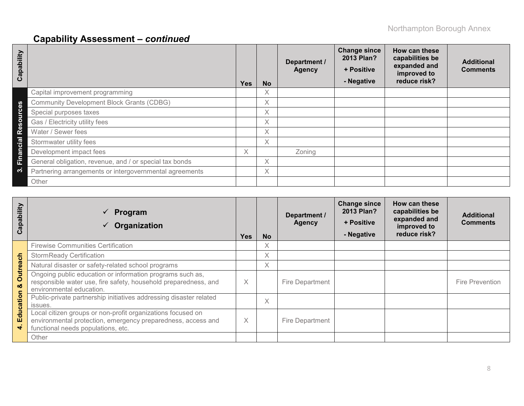| Capability                         |                                                         | <b>Yes</b> | <b>No</b> | Department /<br><b>Agency</b> | <b>Change since</b><br>2013 Plan?<br>+ Positive<br>- Negative | How can these<br>capabilities be<br>expanded and<br>improved to<br>reduce risk? | <b>Additional</b><br><b>Comments</b> |
|------------------------------------|---------------------------------------------------------|------------|-----------|-------------------------------|---------------------------------------------------------------|---------------------------------------------------------------------------------|--------------------------------------|
|                                    | Capital improvement programming                         |            | X         |                               |                                                               |                                                                                 |                                      |
| $\boldsymbol{\omega}$              | <b>Community Development Block Grants (CDBG)</b>        |            | X         |                               |                                                               |                                                                                 |                                      |
| $\epsilon$                         | Special purposes taxes                                  |            | X         |                               |                                                               |                                                                                 |                                      |
| $\boldsymbol{\omega}$              | Gas / Electricity utility fees                          |            | X         |                               |                                                               |                                                                                 |                                      |
| $\mathbf{R}^{\boldsymbol{\Theta}}$ | Water / Sewer fees                                      |            | X         |                               |                                                               |                                                                                 |                                      |
| Cial                               | Stormwater utility fees                                 |            | X         |                               |                                                               |                                                                                 |                                      |
| E<br>$\overline{\mathbf{a}}$       | Development impact fees                                 | X.         |           | Zoning                        |                                                               |                                                                                 |                                      |
| Ĕ                                  | General obligation, revenue, and / or special tax bonds |            | X         |                               |                                                               |                                                                                 |                                      |
| က                                  | Partnering arrangements or intergovernmental agreements |            | $\times$  |                               |                                                               |                                                                                 |                                      |
|                                    | Other                                                   |            |           |                               |                                                               |                                                                                 |                                      |

| Capability    | Program<br>$\checkmark$<br>Organization                                                                                                                           | <b>Yes</b> | <b>No</b> | Department /<br><b>Agency</b> | <b>Change since</b><br>2013 Plan?<br>+ Positive<br>- Negative | How can these<br>capabilities be<br>expanded and<br>improved to<br>reduce risk? | <b>Additional</b><br><b>Comments</b> |
|---------------|-------------------------------------------------------------------------------------------------------------------------------------------------------------------|------------|-----------|-------------------------------|---------------------------------------------------------------|---------------------------------------------------------------------------------|--------------------------------------|
|               | <b>Firewise Communities Certification</b>                                                                                                                         |            | X         |                               |                                                               |                                                                                 |                                      |
|               | <b>StormReady Certification</b>                                                                                                                                   |            | X         |                               |                                                               |                                                                                 |                                      |
|               | Natural disaster or safety-related school programs                                                                                                                |            | X         |                               |                                                               |                                                                                 |                                      |
| Outreach<br>ಯ | Ongoing public education or information programs such as,<br>responsible water use, fire safety, household preparedness, and<br>environmental education.          | $\times$   |           | Fire Department               |                                                               |                                                                                 | <b>Fire Prevention</b>               |
| Education     | Public-private partnership initiatives addressing disaster related<br>issues.                                                                                     |            | X         |                               |                                                               |                                                                                 |                                      |
| ÷             | Local citizen groups or non-profit organizations focused on<br>environmental protection, emergency preparedness, access and<br>functional needs populations, etc. | $\times$   |           | Fire Department               |                                                               |                                                                                 |                                      |
|               | Other                                                                                                                                                             |            |           |                               |                                                               |                                                                                 |                                      |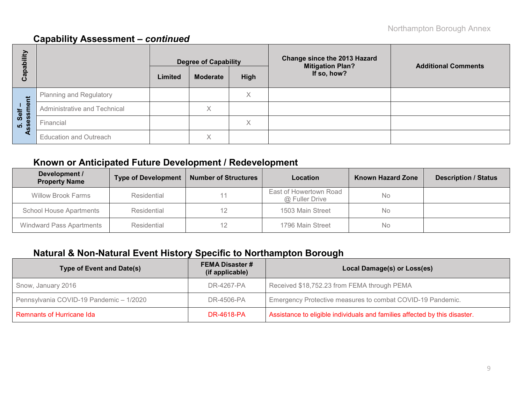| Capability                           |                               |         | <b>Degree of Capability</b> |      | Change since the 2013 Hazard<br><b>Mitigation Plan?</b> | <b>Additional Comments</b> |  |
|--------------------------------------|-------------------------------|---------|-----------------------------|------|---------------------------------------------------------|----------------------------|--|
|                                      |                               | Limited | <b>Moderate</b>             | High | If so, how?                                             |                            |  |
|                                      | Planning and Regulatory       |         |                             | Χ    |                                                         |                            |  |
| ment<br>Self                         | Administrative and Technical  |         | Χ                           |      |                                                         |                            |  |
| 5. Sel<br><b>SS</b> essr<br><b>S</b> | Financial                     |         |                             | ∧    |                                                         |                            |  |
| ∢                                    | <b>Education and Outreach</b> |         | X                           |      |                                                         |                            |  |

### **Known or Anticipated Future Development / Redevelopment**

| Development /<br><b>Property Name</b> | <b>Type of Development</b> | <b>Number of Structures</b> | Location                                 | <b>Known Hazard Zone</b> | <b>Description / Status</b> |
|---------------------------------------|----------------------------|-----------------------------|------------------------------------------|--------------------------|-----------------------------|
| <b>Willow Brook Farms</b>             | Residential                |                             | East of Howertown Road<br>@ Fuller Drive | <b>No</b>                |                             |
| <b>School House Apartments</b>        | Residential                | 1503 Main Street            |                                          | No                       |                             |
| <b>Windward Pass Apartments</b>       | Residential                |                             | 1796 Main Street                         | No                       |                             |

## **Natural & Non-Natural Event History Specific to Northampton Borough**

| Type of Event and Date(s)               | <b>FEMA Disaster #</b><br>(if applicable) | Local Damage(s) or Loss(es)                                                |
|-----------------------------------------|-------------------------------------------|----------------------------------------------------------------------------|
| Snow, January 2016                      | DR-4267-PA                                | Received \$18,752.23 from FEMA through PEMA                                |
| Pennsylvania COVID-19 Pandemic - 1/2020 | DR-4506-PA                                | Emergency Protective measures to combat COVID-19 Pandemic.                 |
| <b>Remnants of Hurricane Ida</b>        | <b>DR-4618-PA</b>                         | Assistance to eligible individuals and families affected by this disaster. |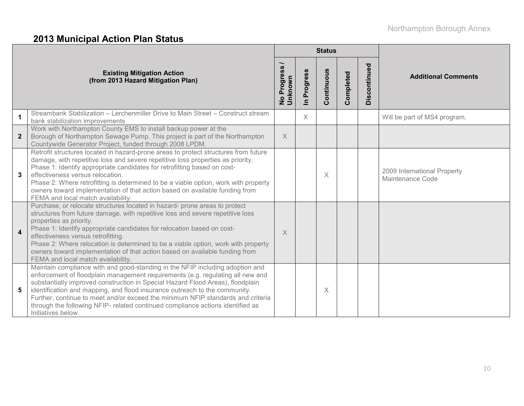# **2013 Municipal Action Plan Status**

|                         |                                                                                                                                                                                                                                                                                                                                                                                                                                                                                                                            |                        |                          | <b>Status</b> |           |              |                                                 |
|-------------------------|----------------------------------------------------------------------------------------------------------------------------------------------------------------------------------------------------------------------------------------------------------------------------------------------------------------------------------------------------------------------------------------------------------------------------------------------------------------------------------------------------------------------------|------------------------|--------------------------|---------------|-----------|--------------|-------------------------------------------------|
|                         | <b>Existing Mitigation Action</b><br>(from 2013 Hazard Mitigation Plan)                                                                                                                                                                                                                                                                                                                                                                                                                                                    | No Progress<br>Unknown | Progress<br>$\mathbf{a}$ | Continuous    | Completed | Discontinued | <b>Additional Comments</b>                      |
| 1                       | Streambank Stabilization - Lerchenmiller Drive to Main Street - Construct stream<br>bank stabilization improvements                                                                                                                                                                                                                                                                                                                                                                                                        |                        | $\times$                 |               |           |              | Will be part of MS4 program.                    |
| $\overline{2}$          | Work with Northampton County EMS to install backup power at the<br>Borough of Northampton Sewage Pump. This project is part of the Northampton<br>Countywide Generator Project, funded through 2008 LPDM.                                                                                                                                                                                                                                                                                                                  | $\times$               |                          |               |           |              |                                                 |
| 3                       | Retrofit structures located in hazard-prone areas to protect structures from future<br>damage, with repetitive loss and severe repetitive loss properties as priority.<br>Phase 1: Identify appropriate candidates for retrofitting based on cost-<br>effectiveness versus relocation.<br>Phase 2: Where retrofitting is determined to be a viable option, work with property<br>owners toward implementation of that action based on available funding from<br>FEMA and local match availability.                         |                        |                          | $\times$      |           |              | 2009 International Property<br>Maintenance Code |
| $\overline{\mathbf{4}}$ | Purchase, or relocate structures located in hazard- prone areas to protect<br>structures from future damage, with repetitive loss and severe repetitive loss<br>properties as priority.<br>Phase 1: Identify appropriate candidates for relocation based on cost-<br>effectiveness versus retrofitting.<br>Phase 2: Where relocation is determined to be a viable option, work with property<br>owners toward implementation of that action based on available funding from<br>FEMA and local match availability.          | X                      |                          |               |           |              |                                                 |
| 5                       | Maintain compliance with and good-standing in the NFIP including adoption and<br>enforcement of floodplain management requirements (e.g. regulating all new and<br>substantially improved construction in Special Hazard Flood Areas), floodplain<br>identification and mapping, and flood insurance outreach to the community.<br>Further, continue to meet and/or exceed the minimum NFIP standards and criteria<br>through the following NFIP- related continued compliance actions identified as<br>Initiatives below. |                        |                          | $\times$      |           |              |                                                 |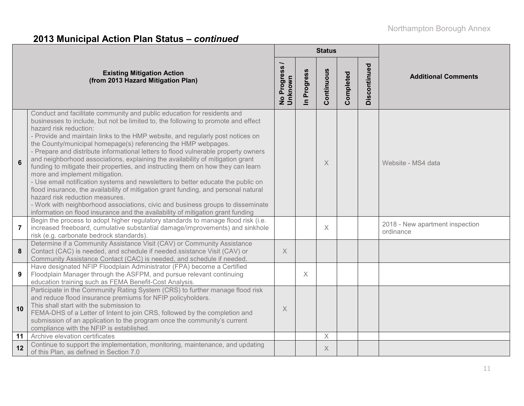# **2013 Municipal Action Plan Status –** *continued*

|                |                                                                                                                                                                                                                                                                                                                                                                                                                                                                                                                                                                                                                                                                                                                                                                                                                                                                                                                                                                                                                              |                        |                            | <b>Status</b> |           |              |                                              |  |
|----------------|------------------------------------------------------------------------------------------------------------------------------------------------------------------------------------------------------------------------------------------------------------------------------------------------------------------------------------------------------------------------------------------------------------------------------------------------------------------------------------------------------------------------------------------------------------------------------------------------------------------------------------------------------------------------------------------------------------------------------------------------------------------------------------------------------------------------------------------------------------------------------------------------------------------------------------------------------------------------------------------------------------------------------|------------------------|----------------------------|---------------|-----------|--------------|----------------------------------------------|--|
|                | <b>Existing Mitigation Action</b><br>(from 2013 Hazard Mitigation Plan)                                                                                                                                                                                                                                                                                                                                                                                                                                                                                                                                                                                                                                                                                                                                                                                                                                                                                                                                                      | No Progress<br>Unknown | Progress<br>$\overline{=}$ | Continuous    | Completed | Discontinued | <b>Additional Comments</b>                   |  |
| 6              | Conduct and facilitate community and public education for residents and<br>businesses to include, but not be limited to, the following to promote and effect<br>hazard risk reduction:<br>- Provide and maintain links to the HMP website, and regularly post notices on<br>the County/municipal homepage(s) referencing the HMP webpages.<br>- Prepare and distribute informational letters to flood vulnerable property owners<br>and neighborhood associations, explaining the availability of mitigation grant<br>funding to mitigate their properties, and instructing them on how they can learn<br>more and implement mitigation.<br>- Use email notification systems and newsletters to better educate the public on<br>flood insurance, the availability of mitigation grant funding, and personal natural<br>hazard risk reduction measures.<br>- Work with neighborhood associations, civic and business groups to disseminate<br>information on flood insurance and the availability of mitigation grant funding |                        |                            | X             |           |              | Website - MS4 data                           |  |
| $\overline{7}$ | Begin the process to adopt higher regulatory standards to manage flood risk (i.e.<br>increased freeboard, cumulative substantial damage/improvements) and sinkhole<br>risk (e.g. carbonate bedrock standards).                                                                                                                                                                                                                                                                                                                                                                                                                                                                                                                                                                                                                                                                                                                                                                                                               |                        |                            | $\times$      |           |              | 2018 - New apartment inspection<br>ordinance |  |
| 8              | Determine if a Community Assistance Visit (CAV) or Community Assistance<br>Contact (CAC) is needed, and schedule if needed.ssistance Visit (CAV) or<br>Community Assistance Contact (CAC) is needed, and schedule if needed.                                                                                                                                                                                                                                                                                                                                                                                                                                                                                                                                                                                                                                                                                                                                                                                                 | $\times$               |                            |               |           |              |                                              |  |
| 9              | Have designated NFIP Floodplain Administrator (FPA) become a Certified<br>Floodplain Manager through the ASFPM, and pursue relevant continuing<br>education training such as FEMA Benefit-Cost Analysis.                                                                                                                                                                                                                                                                                                                                                                                                                                                                                                                                                                                                                                                                                                                                                                                                                     |                        | X                          |               |           |              |                                              |  |
| 10             | Participate in the Community Rating System (CRS) to further manage flood risk<br>and reduce flood insurance premiums for NFIP policyholders.<br>This shall start with the submission to<br>FEMA-DHS of a Letter of Intent to join CRS, followed by the completion and<br>submission of an application to the program once the community's current<br>compliance with the NFIP is established.                                                                                                                                                                                                                                                                                                                                                                                                                                                                                                                                                                                                                                | $\times$               |                            |               |           |              |                                              |  |
| 11             | Archive elevation certificates                                                                                                                                                                                                                                                                                                                                                                                                                                                                                                                                                                                                                                                                                                                                                                                                                                                                                                                                                                                               |                        |                            | $\times$      |           |              |                                              |  |
| 12             | Continue to support the implementation, monitoring, maintenance, and updating<br>of this Plan, as defined in Section 7.0                                                                                                                                                                                                                                                                                                                                                                                                                                                                                                                                                                                                                                                                                                                                                                                                                                                                                                     |                        |                            | $\times$      |           |              |                                              |  |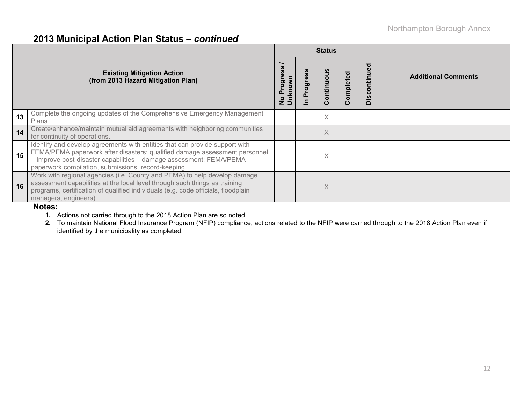### **2013 Municipal Action Plan Status –** *continued*

|    |                                                                                                                                                                                                                                                                                        |              |        | <b>Status</b>        |                         |                             |                            |  |  |
|----|----------------------------------------------------------------------------------------------------------------------------------------------------------------------------------------------------------------------------------------------------------------------------------------|--------------|--------|----------------------|-------------------------|-----------------------------|----------------------------|--|--|
|    | <b>Existing Mitigation Action</b><br>(from 2013 Hazard Mitigation Plan)                                                                                                                                                                                                                | ق<br>po<br>o | rogres | $\circ$<br>ntin<br>ပ | ompleted<br>$\mathbf c$ | ਠ<br>Ō<br>tinu<br>O<br>Disc | <b>Additional Comments</b> |  |  |
| 13 | Complete the ongoing updates of the Comprehensive Emergency Management<br>Plans                                                                                                                                                                                                        |              |        | $\times$             |                         |                             |                            |  |  |
| 14 | Create/enhance/maintain mutual aid agreements with neighboring communities<br>for continuity of operations.                                                                                                                                                                            |              |        | X                    |                         |                             |                            |  |  |
| 15 | Identify and develop agreements with entities that can provide support with<br>FEMA/PEMA paperwork after disasters; qualified damage assessment personnel<br>- Improve post-disaster capabilities - damage assessment; FEMA/PEMA<br>paperwork compilation, submissions, record-keeping |              |        | X                    |                         |                             |                            |  |  |
| 16 | Work with regional agencies (i.e. County and PEMA) to help develop damage<br>assessment capabilities at the local level through such things as training<br>programs, certification of qualified individuals (e.g. code officials, floodplain<br>managers, engineers).                  |              |        | $\times$             |                         |                             |                            |  |  |

#### **Notes:**

- **1.** Actions not carried through to the 2018 Action Plan are so noted.
- **2.** To maintain National Flood Insurance Program (NFIP) compliance, actions related to the NFIP were carried through to the 2018 Action Plan even if identified by the municipality as completed.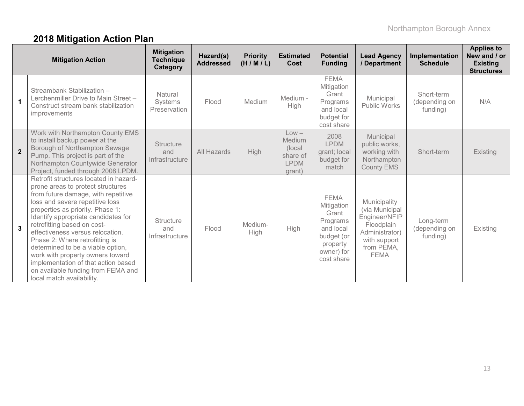# **2018 Mitigation Action Plan**

|                | <b>Mitigation Action</b>                                                                                                                                                                                                                                                                                                                                                                                                                                                                                                 | <b>Mitigation</b><br><b>Technique</b><br>Category | Hazard(s)<br><b>Addressed</b> | <b>Priority</b><br>(H/M/L) | <b>Estimated</b><br>Cost                                          | <b>Potential</b><br><b>Funding</b>                                                                                | <b>Lead Agency</b><br>/ Department                                                                                           | Implementation<br><b>Schedule</b>       | <b>Applies to</b><br>New and / or<br><b>Existing</b><br><b>Structures</b> |
|----------------|--------------------------------------------------------------------------------------------------------------------------------------------------------------------------------------------------------------------------------------------------------------------------------------------------------------------------------------------------------------------------------------------------------------------------------------------------------------------------------------------------------------------------|---------------------------------------------------|-------------------------------|----------------------------|-------------------------------------------------------------------|-------------------------------------------------------------------------------------------------------------------|------------------------------------------------------------------------------------------------------------------------------|-----------------------------------------|---------------------------------------------------------------------------|
|                | Streambank Stabilization -<br>Lerchenmiller Drive to Main Street -<br>Construct stream bank stabilization<br>improvements                                                                                                                                                                                                                                                                                                                                                                                                | Natural<br><b>Systems</b><br>Preservation         | Flood                         | Medium                     | Medium -<br>High                                                  | <b>FEMA</b><br>Mitigation<br>Grant<br>Programs<br>and local<br>budget for<br>cost share                           | Municipal<br><b>Public Works</b>                                                                                             | Short-term<br>(depending on<br>funding) | N/A                                                                       |
| $\overline{2}$ | Work with Northampton County EMS<br>to install backup power at the<br>Borough of Northampton Sewage<br>Pump. This project is part of the<br>Northampton Countywide Generator<br>Project, funded through 2008 LPDM.                                                                                                                                                                                                                                                                                                       | <b>Structure</b><br>and<br>Infrastructure         | All Hazards                   | High                       | $Low -$<br>Medium<br>(local)<br>share of<br><b>LPDM</b><br>grant) | 2008<br><b>LPDM</b><br>grant; local<br>budget for<br>match                                                        | Municipal<br>public works,<br>working with<br>Northampton<br>County EMS                                                      | Short-term                              | Existing                                                                  |
| $\mathbf{3}$   | Retrofit structures located in hazard-<br>prone areas to protect structures<br>from future damage, with repetitive<br>loss and severe repetitive loss<br>properties as priority. Phase 1:<br>Identify appropriate candidates for<br>retrofitting based on cost-<br>effectiveness versus relocation.<br>Phase 2: Where retrofitting is<br>determined to be a viable option,<br>work with property owners toward<br>implementation of that action based<br>on available funding from FEMA and<br>local match availability. | <b>Structure</b><br>and<br>Infrastructure         | Flood                         | Medium-<br>High            | <b>High</b>                                                       | <b>FEMA</b><br>Mitigation<br>Grant<br>Programs<br>and local<br>budget (or<br>property<br>owner) for<br>cost share | Municipality<br>(via Municipal<br>Engineer/NFIP<br>Floodplain<br>Administrator)<br>with support<br>from PEMA,<br><b>FEMA</b> | Long-term<br>(depending on<br>funding)  | Existing                                                                  |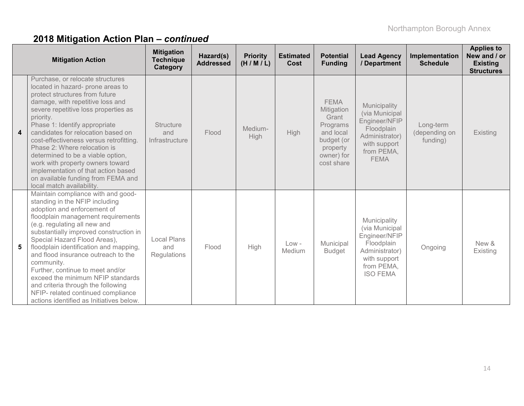|                         | <b>Mitigation Action</b>                                                                                                                                                                                                                                                                                                                                                                                                                                                                                                                            | <b>Mitigation</b><br><b>Technique</b><br>Category | Hazard(s)<br><b>Addressed</b> | <b>Priority</b><br>(H/M/L) | <b>Estimated</b><br>Cost | <b>Potential</b><br><b>Funding</b>                                                                                | <b>Lead Agency</b><br>/ Department                                                                                               | Implementation<br><b>Schedule</b>      | <b>Applies to</b><br>New and / or<br><b>Existing</b><br><b>Structures</b> |
|-------------------------|-----------------------------------------------------------------------------------------------------------------------------------------------------------------------------------------------------------------------------------------------------------------------------------------------------------------------------------------------------------------------------------------------------------------------------------------------------------------------------------------------------------------------------------------------------|---------------------------------------------------|-------------------------------|----------------------------|--------------------------|-------------------------------------------------------------------------------------------------------------------|----------------------------------------------------------------------------------------------------------------------------------|----------------------------------------|---------------------------------------------------------------------------|
| $\overline{\mathbf{4}}$ | Purchase, or relocate structures<br>located in hazard- prone areas to<br>protect structures from future<br>damage, with repetitive loss and<br>severe repetitive loss properties as<br>priority.<br>Phase 1: Identify appropriate<br>candidates for relocation based on<br>cost-effectiveness versus retrofitting.<br>Phase 2: Where relocation is<br>determined to be a viable option,<br>work with property owners toward<br>implementation of that action based<br>on available funding from FEMA and<br>local match availability.               | <b>Structure</b><br>and<br>Infrastructure         | Flood                         | Medium-<br>High            | <b>High</b>              | <b>FEMA</b><br>Mitigation<br>Grant<br>Programs<br>and local<br>budget (or<br>property<br>owner) for<br>cost share | Municipality<br>(via Municipal<br>Engineer/NFIP<br>Floodplain<br>Administrator)<br>with support<br>from PEMA,<br><b>FEMA</b>     | Long-term<br>(depending on<br>funding) | Existing                                                                  |
| 5                       | Maintain compliance with and good-<br>standing in the NFIP including<br>adoption and enforcement of<br>floodplain management requirements<br>(e.g. regulating all new and<br>substantially improved construction in<br>Special Hazard Flood Areas),<br>floodplain identification and mapping,<br>and flood insurance outreach to the<br>community.<br>Further, continue to meet and/or<br>exceed the minimum NFIP standards<br>and criteria through the following<br>NFIP- related continued compliance<br>actions identified as Initiatives below. | <b>Local Plans</b><br>and<br>Regulations          | Flood                         | High                       | $Low -$<br>Medium        | Municipal<br><b>Budget</b>                                                                                        | Municipality<br>(via Municipal<br>Engineer/NFIP<br>Floodplain<br>Administrator)<br>with support<br>from PEMA,<br><b>ISO FEMA</b> | Ongoing                                | New &<br>Existing                                                         |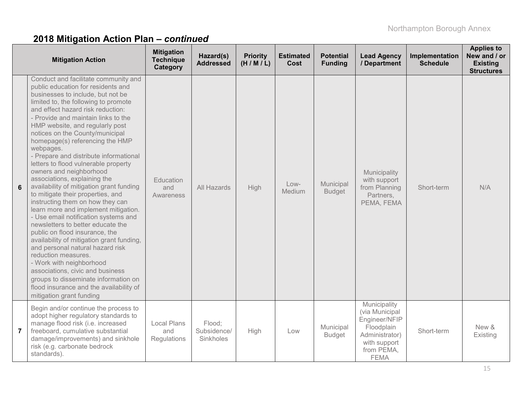|                | <b>Mitigation Action</b>                                                                                                                                                                                                                                                                                                                                                                                                                                                                                                                                                                                                                                                                                                                                                                                                                                                                                                                                                                                                                                                  | <b>Mitigation</b><br><b>Technique</b><br>Category | Hazard(s)<br><b>Addressed</b>      | <b>Priority</b><br>(H/M/L) | <b>Estimated</b><br><b>Cost</b> | <b>Potential</b><br><b>Funding</b> | <b>Lead Agency</b><br>/ Department                                                                                           | Implementation<br><b>Schedule</b> | <b>Applies to</b><br>New and / or<br><b>Existing</b><br><b>Structures</b> |
|----------------|---------------------------------------------------------------------------------------------------------------------------------------------------------------------------------------------------------------------------------------------------------------------------------------------------------------------------------------------------------------------------------------------------------------------------------------------------------------------------------------------------------------------------------------------------------------------------------------------------------------------------------------------------------------------------------------------------------------------------------------------------------------------------------------------------------------------------------------------------------------------------------------------------------------------------------------------------------------------------------------------------------------------------------------------------------------------------|---------------------------------------------------|------------------------------------|----------------------------|---------------------------------|------------------------------------|------------------------------------------------------------------------------------------------------------------------------|-----------------------------------|---------------------------------------------------------------------------|
| 6              | Conduct and facilitate community and<br>public education for residents and<br>businesses to include, but not be<br>limited to, the following to promote<br>and effect hazard risk reduction:<br>- Provide and maintain links to the<br>HMP website, and regularly post<br>notices on the County/municipal<br>homepage(s) referencing the HMP<br>webpages.<br>- Prepare and distribute informational<br>letters to flood vulnerable property<br>owners and neighborhood<br>associations, explaining the<br>availability of mitigation grant funding<br>to mitigate their properties, and<br>instructing them on how they can<br>learn more and implement mitigation.<br>- Use email notification systems and<br>newsletters to better educate the<br>public on flood insurance, the<br>availability of mitigation grant funding,<br>and personal natural hazard risk<br>reduction measures.<br>- Work with neighborhood<br>associations, civic and business<br>groups to disseminate information on<br>flood insurance and the availability of<br>mitigation grant funding | Education<br>and<br>Awareness                     | All Hazards                        | High                       | $Low-$<br>Medium                | Municipal<br><b>Budget</b>         | Municipality<br>with support<br>from Planning<br>Partners,<br>PEMA, FEMA                                                     | Short-term                        | N/A                                                                       |
| $\overline{7}$ | Begin and/or continue the process to<br>adopt higher regulatory standards to<br>manage flood risk (i.e. increased<br>freeboard, cumulative substantial<br>damage/improvements) and sinkhole<br>risk (e.g. carbonate bedrock<br>standards).                                                                                                                                                                                                                                                                                                                                                                                                                                                                                                                                                                                                                                                                                                                                                                                                                                | <b>Local Plans</b><br>and<br>Regulations          | Flood;<br>Subsidence/<br>Sinkholes | High                       | Low                             | Municipal<br><b>Budget</b>         | Municipality<br>(via Municipal<br>Engineer/NFIP<br>Floodplain<br>Administrator)<br>with support<br>from PEMA,<br><b>FEMA</b> | Short-term                        | New &<br>Existing                                                         |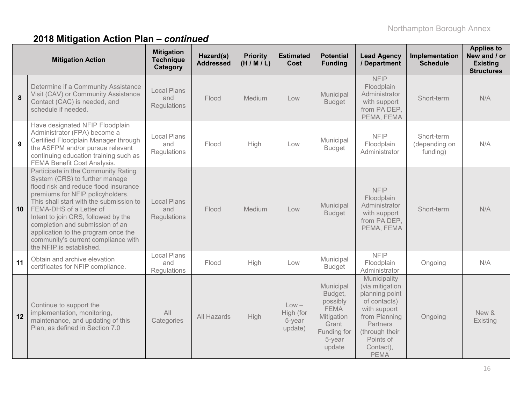|    | <b>Mitigation Action</b>                                                                                                                                                                                                                                                                                                                                                                                     | <b>Mitigation</b><br><b>Technique</b><br>Category | Hazard(s)<br><b>Addressed</b> | <b>Priority</b><br>(H/M/L) | <b>Estimated</b><br>Cost                  | <b>Potential</b><br><b>Funding</b>                                                                        | <b>Lead Agency</b><br>/ Department                                                                                                                                        | Implementation<br><b>Schedule</b>       | <b>Applies to</b><br>New and / or<br><b>Existing</b><br><b>Structures</b> |
|----|--------------------------------------------------------------------------------------------------------------------------------------------------------------------------------------------------------------------------------------------------------------------------------------------------------------------------------------------------------------------------------------------------------------|---------------------------------------------------|-------------------------------|----------------------------|-------------------------------------------|-----------------------------------------------------------------------------------------------------------|---------------------------------------------------------------------------------------------------------------------------------------------------------------------------|-----------------------------------------|---------------------------------------------------------------------------|
| 8  | Determine if a Community Assistance<br>Visit (CAV) or Community Assistance<br>Contact (CAC) is needed, and<br>schedule if needed.                                                                                                                                                                                                                                                                            | <b>Local Plans</b><br>and<br>Regulations          | Flood                         | Medium                     | Low                                       | Municipal<br><b>Budget</b>                                                                                | <b>NFIP</b><br>Floodplain<br>Administrator<br>with support<br>from PA DEP,<br>PEMA, FEMA                                                                                  | Short-term                              | N/A                                                                       |
| 9  | Have designated NFIP Floodplain<br>Administrator (FPA) become a<br>Certified Floodplain Manager through<br>the ASFPM and/or pursue relevant<br>continuing education training such as<br>FEMA Benefit Cost Analysis.                                                                                                                                                                                          | Local Plans<br>and<br>Regulations                 | Flood                         | High                       | Low                                       | Municipal<br><b>Budget</b>                                                                                | <b>NFIP</b><br>Floodplain<br>Administrator                                                                                                                                | Short-term<br>(depending on<br>funding) | N/A                                                                       |
| 10 | Participate in the Community Rating<br>System (CRS) to further manage<br>flood risk and reduce flood insurance<br>premiums for NFIP policyholders.<br>This shall start with the submission to<br>FEMA-DHS of a Letter of<br>Intent to join CRS, followed by the<br>completion and submission of an<br>application to the program once the<br>community's current compliance with<br>the NFIP is established. | <b>Local Plans</b><br>and<br>Regulations          | Flood                         | Medium                     | Low                                       | Municipal<br><b>Budget</b>                                                                                | <b>NFIP</b><br>Floodplain<br>Administrator<br>with support<br>from PA DEP,<br>PEMA, FEMA                                                                                  | Short-term                              | N/A                                                                       |
| 11 | Obtain and archive elevation<br>certificates for NFIP compliance.                                                                                                                                                                                                                                                                                                                                            | <b>Local Plans</b><br>and<br>Regulations          | Flood                         | High                       | Low                                       | Municipal<br><b>Budget</b>                                                                                | <b>NFIP</b><br>Floodplain<br>Administrator                                                                                                                                | Ongoing                                 | N/A                                                                       |
| 12 | Continue to support the<br>implementation, monitoring,<br>maintenance, and updating of this<br>Plan, as defined in Section 7.0                                                                                                                                                                                                                                                                               | All<br>Categories                                 | All Hazards                   | High                       | $Low -$<br>High (for<br>5-year<br>update) | Municipal<br>Budget,<br>possibly<br><b>FEMA</b><br>Mitigation<br>Grant<br>Funding for<br>5-year<br>update | Municipality<br>(via mitigation<br>planning point<br>of contacts)<br>with support<br>from Planning<br>Partners<br>(through their<br>Points of<br>Contact),<br><b>PEMA</b> | Ongoing                                 | New &<br>Existing                                                         |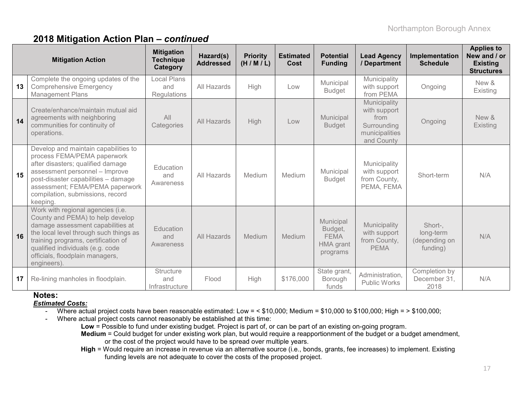|    | <b>Mitigation Action</b>                                                                                                                                                                                                                                                          | <b>Mitigation</b><br><b>Technique</b><br>Category | Hazard(s)<br><b>Addressed</b> | <b>Priority</b><br>(H/M/L) | <b>Estimated</b><br>Cost | <b>Potential</b><br><b>Funding</b>                                  | <b>Lead Agency</b><br>/ Department                                                  | Implementation<br><b>Schedule</b>                 | <b>Applies to</b><br>New and / or<br><b>Existing</b><br><b>Structures</b> |
|----|-----------------------------------------------------------------------------------------------------------------------------------------------------------------------------------------------------------------------------------------------------------------------------------|---------------------------------------------------|-------------------------------|----------------------------|--------------------------|---------------------------------------------------------------------|-------------------------------------------------------------------------------------|---------------------------------------------------|---------------------------------------------------------------------------|
| 13 | Complete the ongoing updates of the<br><b>Comprehensive Emergency</b><br><b>Management Plans</b>                                                                                                                                                                                  | <b>Local Plans</b><br>and<br><b>Regulations</b>   | All Hazards                   | High                       | Low                      | Municipal<br><b>Budget</b>                                          | Municipality<br>with support<br>from PEMA                                           | Ongoing                                           | New &<br>Existing                                                         |
| 14 | Create/enhance/maintain mutual aid<br>agreements with neighboring<br>communities for continuity of<br>operations.                                                                                                                                                                 | All<br>Categories                                 | All Hazards                   | High                       | Low                      | Municipal<br><b>Budget</b>                                          | Municipality<br>with support<br>from<br>Surrounding<br>municipalities<br>and County | Ongoing                                           | New &<br>Existing                                                         |
| 15 | Develop and maintain capabilities to<br>process FEMA/PEMA paperwork<br>after disasters; qualified damage<br>assessment personnel - Improve<br>post-disaster capabilities - damage<br>assessment; FEMA/PEMA paperwork<br>compilation, submissions, record<br>keeping.              | Education<br>and<br>Awareness                     | All Hazards                   | Medium                     | Medium                   | Municipal<br><b>Budget</b>                                          | Municipality<br>with support<br>from County,<br>PEMA, FEMA                          | Short-term                                        | N/A                                                                       |
| 16 | Work with regional agencies (i.e.<br>County and PEMA) to help develop<br>damage assessment capabilities at<br>the local level through such things as<br>training programs, certification of<br>qualified individuals (e.g. code<br>officials, floodplain managers,<br>engineers). | Education<br>and<br>Awareness                     | All Hazards                   | Medium                     | Medium                   | Municipal<br>Budget,<br><b>FEMA</b><br><b>HMA</b> grant<br>programs | Municipality<br>with support<br>from County,<br><b>PEMA</b>                         | Short-,<br>long-term<br>(depending on<br>funding) | N/A                                                                       |
| 17 | Re-lining manholes in floodplain.                                                                                                                                                                                                                                                 | Structure<br>and<br>Infrastructure                | Flood                         | High                       | \$176,000                | State grant,<br>Borough<br>funds                                    | Administration,<br><b>Public Works</b>                                              | Completion by<br>December 31,<br>2018             | N/A                                                                       |

#### **Notes:**

#### *Estimated Costs:*

- Where actual project costs have been reasonable estimated: Low = < \$10,000; Medium = \$10,000 to \$100,000; High = > \$100,000;
- Where actual project costs cannot reasonably be established at this time:
	- **Low** = Possible to fund under existing budget. Project is part of, or can be part of an existing on-going program.
	- **Medium** = Could budget for under existing work plan, but would require a reapportionment of the budget or a budget amendment, or the cost of the project would have to be spread over multiple years.
	- **High** = Would require an increase in revenue via an alternative source (i.e., bonds, grants, fee increases) to implement. Existing funding levels are not adequate to cover the costs of the proposed project.